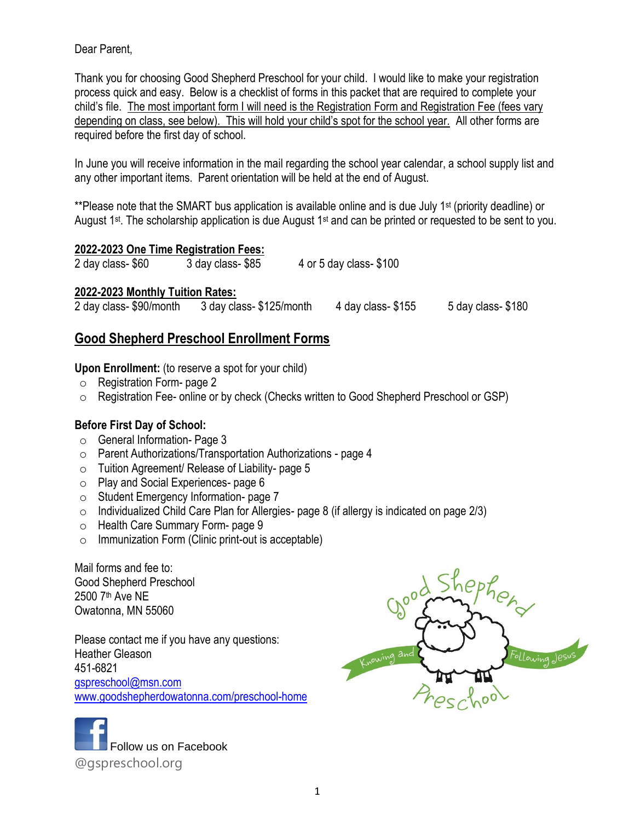Dear Parent,

Thank you for choosing Good Shepherd Preschool for your child. I would like to make your registration process quick and easy. Below is a checklist of forms in this packet that are required to complete your child's file. The most important form I will need is the Registration Form and Registration Fee (fees vary depending on class, see below). This will hold your child's spot for the school year. All other forms are required before the first day of school.

In June you will receive information in the mail regarding the school year calendar, a school supply list and any other important items. Parent orientation will be held at the end of August.

\*\*Please note that the SMART bus application is available online and is due July 1<sup>st</sup> (priority deadline) or August 1<sup>st</sup>. The scholarship application is due August 1<sup>st</sup> and can be printed or requested to be sent to you.

| 2022-2023 One Time Registration Fees: |
|---------------------------------------|
|---------------------------------------|

2 day class- \$60 3 day class- \$85 4 or 5 day class- \$100

### **2022-2023 Monthly Tuition Rates:**

2 day class- \$90/month 3 day class- \$125/month 4 day class- \$155 5 day class- \$180

## **Good Shepherd Preschool Enrollment Forms**

**Upon Enrollment:** (to reserve a spot for your child)

- o Registration Form- page 2
- o Registration Fee- online or by check (Checks written to Good Shepherd Preschool or GSP)

### **Before First Day of School:**

- o General Information- Page 3
- o Parent Authorizations/Transportation Authorizations page 4
- o Tuition Agreement/ Release of Liability- page 5
- o Play and Social Experiences- page 6
- o Student Emergency Information- page 7
- $\circ$  Individualized Child Care Plan for Allergies- page 8 (if allergy is indicated on page 2/3)
- o Health Care Summary Form- page 9
- $\circ$  Immunization Form (Clinic print-out is acceptable)

Mail forms and fee to: Good Shepherd Preschool 2500 7th Ave NE Owatonna, MN 55060

Please contact me if you have any questions: Heather Gleason 451-6821 [gspreschool@msn.com](mailto:gspreschool@msn.com) [www.goodshepherdowatonna.com/](http://www.goodshepherdowatonna.com/)preschool-home



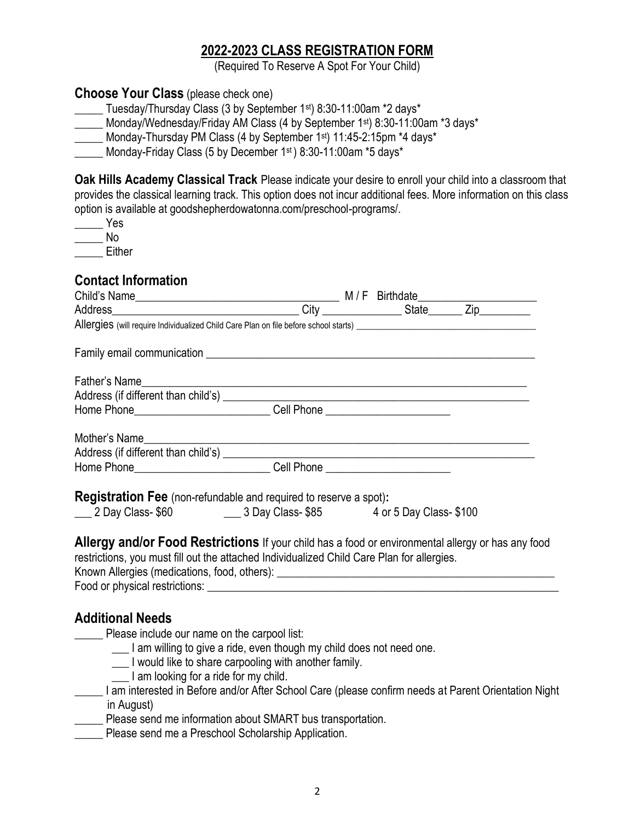## **2022-2023 CLASS REGISTRATION FORM**

(Required To Reserve A Spot For Your Child)

### **Choose Your Class** (please check one)

\_\_\_\_\_ Tuesday/Thursday Class (3 by September 1st) 8:30-11:00am \*2 days\*

\_\_\_\_\_ Monday/Wednesday/Friday AM Class (4 by September 1st) 8:30-11:00am \*3 days\*

Monday-Thursday PM Class (4 by September 1<sup>st</sup>) 11:45-2:15pm \*4 days\*

Monday-Friday Class (5 by December 1st) 8:30-11:00am  $*5$  days $*$ 

**Oak Hills Academy Classical Track** Please indicate your desire to enroll your child into a classroom that provides the classical learning track. This option does not incur additional fees. More information on this class option is available at goodshepherdowatonna.com/preschool-programs/.

\_\_\_\_\_ Yes  $\blacksquare$  No

\_\_\_\_\_ Either

### **Contact Information**

| Child's Name<br>Address M/F Birthdate M/F Birthdate M/F Birthdate M/F Birthdate M/F Birthdate M/F Birthdate M/F Birthdate M/F Birthdate M/F Birthdate M/F Birthdate M/F Birthdate M/F Birthdate M/F Birthdate M/F Birthdate M/F |  |  |  |  |
|---------------------------------------------------------------------------------------------------------------------------------------------------------------------------------------------------------------------------------|--|--|--|--|
|                                                                                                                                                                                                                                 |  |  |  |  |
|                                                                                                                                                                                                                                 |  |  |  |  |
|                                                                                                                                                                                                                                 |  |  |  |  |
|                                                                                                                                                                                                                                 |  |  |  |  |
|                                                                                                                                                                                                                                 |  |  |  |  |
|                                                                                                                                                                                                                                 |  |  |  |  |
|                                                                                                                                                                                                                                 |  |  |  |  |
| Mother's Name                                                                                                                                                                                                                   |  |  |  |  |
|                                                                                                                                                                                                                                 |  |  |  |  |
|                                                                                                                                                                                                                                 |  |  |  |  |
| <b>Registration Fee</b> (non-refundable and required to reserve a spot):                                                                                                                                                        |  |  |  |  |
| 100 2 Day Class- \$60 100 10 3 Day Class- \$85 4 or 5 Day Class- \$100                                                                                                                                                          |  |  |  |  |
| Allergy and/or Food Restrictions If your child has a food or environmental allergy or has any food                                                                                                                              |  |  |  |  |
| restrictions, you must fill out the attached Individualized Child Care Plan for allergies.                                                                                                                                      |  |  |  |  |
|                                                                                                                                                                                                                                 |  |  |  |  |
|                                                                                                                                                                                                                                 |  |  |  |  |
|                                                                                                                                                                                                                                 |  |  |  |  |
| <b>Additional Needs</b>                                                                                                                                                                                                         |  |  |  |  |
| Please include our name on the carpool list:                                                                                                                                                                                    |  |  |  |  |
| I am willing to give a ride, even though my child does not need one.                                                                                                                                                            |  |  |  |  |
| I would like to share carpooling with another family.                                                                                                                                                                           |  |  |  |  |
| I am looking for a ride for my child.                                                                                                                                                                                           |  |  |  |  |

- \_\_\_\_\_ I am interested in Before and/or After School Care (please confirm needs at Parent Orientation Night in August)
- Please send me information about SMART bus transportation.
- **EXECUTE:** Please send me a Preschool Scholarship Application.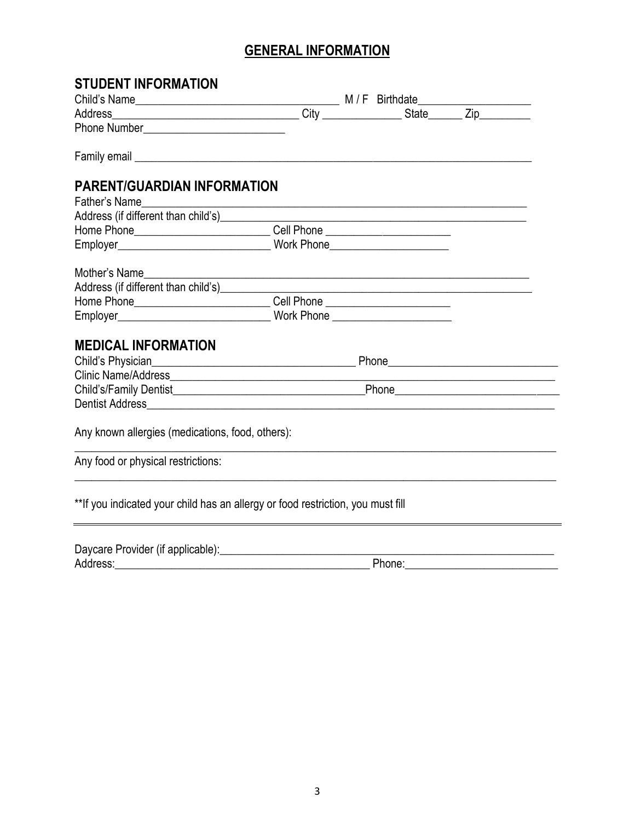# **GENERAL INFORMATION**

| <b>STUDENT INFORMATION</b>                                                                                                                                                                                                           |        |
|--------------------------------------------------------------------------------------------------------------------------------------------------------------------------------------------------------------------------------------|--------|
|                                                                                                                                                                                                                                      |        |
|                                                                                                                                                                                                                                      |        |
|                                                                                                                                                                                                                                      |        |
| Family email <u>experience and the contract of the contract of the contract of the contract of the contract of the contract of the contract of the contract of the contract of the contract of the contract of the contract of t</u> |        |
| <b>PARENT/GUARDIAN INFORMATION</b>                                                                                                                                                                                                   |        |
| Father's Name                                                                                                                                                                                                                        |        |
|                                                                                                                                                                                                                                      |        |
| Home Phone________________________________Cell Phone ___________________________                                                                                                                                                     |        |
|                                                                                                                                                                                                                                      |        |
|                                                                                                                                                                                                                                      |        |
| Address (if different than child's) <b>Address</b> (if different than child's)                                                                                                                                                       |        |
| Home Phone_____________________________Cell Phone ______________________________                                                                                                                                                     |        |
| Employer__________________________________Work Phone ___________________________                                                                                                                                                     |        |
| <b>MEDICAL INFORMATION</b>                                                                                                                                                                                                           |        |
|                                                                                                                                                                                                                                      |        |
|                                                                                                                                                                                                                                      |        |
|                                                                                                                                                                                                                                      |        |
|                                                                                                                                                                                                                                      |        |
| Any known allergies (medications, food, others):                                                                                                                                                                                     |        |
| Any food or physical restrictions:                                                                                                                                                                                                   |        |
| **If you indicated your child has an allergy or food restriction, you must fill                                                                                                                                                      |        |
| Daycare Provider (if applicable): [20] Daycare Provider (if applicable):                                                                                                                                                             |        |
| Address:                                                                                                                                                                                                                             | Phone: |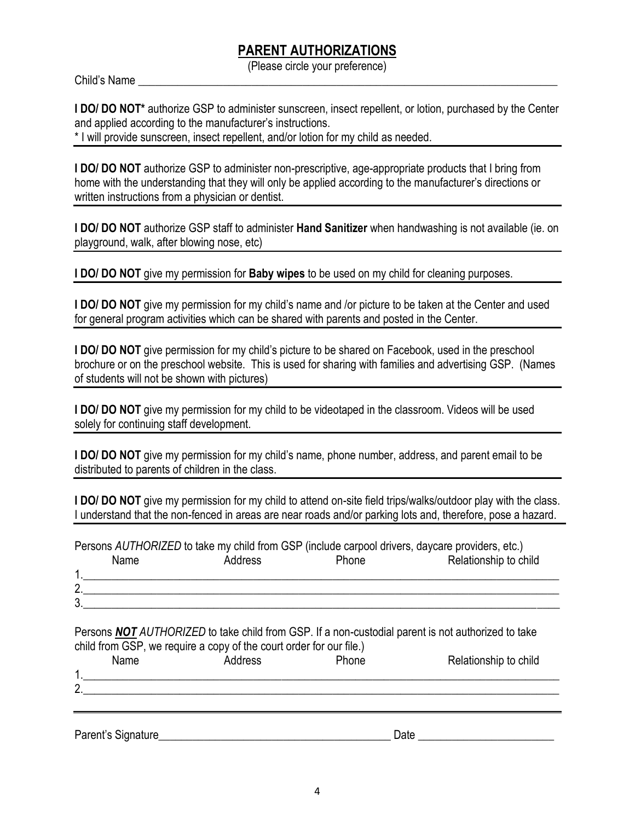## **PARENT AUTHORIZATIONS**

(Please circle your preference)

Child's Name

**I DO/ DO NOT\*** authorize GSP to administer sunscreen, insect repellent, or lotion, purchased by the Center and applied according to the manufacturer's instructions.

\* I will provide sunscreen, insect repellent, and/or lotion for my child as needed.

**I DO/ DO NOT** authorize GSP to administer non-prescriptive, age-appropriate products that I bring from home with the understanding that they will only be applied according to the manufacturer's directions or written instructions from a physician or dentist.

**I DO/ DO NOT** authorize GSP staff to administer **Hand Sanitizer** when handwashing is not available (ie. on playground, walk, after blowing nose, etc)

**I DO/ DO NOT** give my permission for **Baby wipes** to be used on my child for cleaning purposes.

**I DO/ DO NOT** give my permission for my child's name and /or picture to be taken at the Center and used for general program activities which can be shared with parents and posted in the Center.

**I DO/ DO NOT** give permission for my child's picture to be shared on Facebook, used in the preschool brochure or on the preschool website. This is used for sharing with families and advertising GSP. (Names of students will not be shown with pictures)

**I DO/ DO NOT** give my permission for my child to be videotaped in the classroom. Videos will be used solely for continuing staff development.

**I DO/ DO NOT** give my permission for my child's name, phone number, address, and parent email to be distributed to parents of children in the class.

**I DO/ DO NOT** give my permission for my child to attend on-site field trips/walks/outdoor play with the class. I understand that the non-fenced in areas are near roads and/or parking lots and, therefore, pose a hazard.

Persons *AUTHORIZED* to take my child from GSP (include carpool drivers, daycare providers, etc.) Name Address Phone Relationship to child

|                    | 1101110 | , wurvoo | . | <b>INVIGUOI IVITO TO VITTU</b> |
|--------------------|---------|----------|---|--------------------------------|
|                    |         |          |   |                                |
| $\sim$<br><u>.</u> |         |          |   |                                |
| $\sim$<br>ູບ.      |         |          |   |                                |
|                    |         |          |   |                                |

Persons *NOT AUTHORIZED* to take child from GSP. If a non-custodial parent is not authorized to take child from GSP, we require a copy of the court order for our file.) Name Address Phone Relationship to child 1.\_\_\_\_\_\_\_\_\_\_\_\_\_\_\_\_\_\_\_\_\_\_\_\_\_\_\_\_\_\_\_\_\_\_\_\_\_\_\_\_\_\_\_\_\_\_\_\_\_\_\_\_\_\_\_\_\_\_\_\_\_\_\_\_\_\_\_\_\_\_\_\_\_\_\_\_\_\_\_\_\_\_\_\_

Parent's Signature\_\_\_\_\_\_\_\_\_\_\_\_\_\_\_\_\_\_\_\_\_\_\_\_\_\_\_\_\_\_\_\_\_\_\_\_\_\_\_\_\_ Date \_\_\_\_\_\_\_\_\_\_\_\_\_\_\_\_\_\_\_\_\_\_\_\_

 $2.$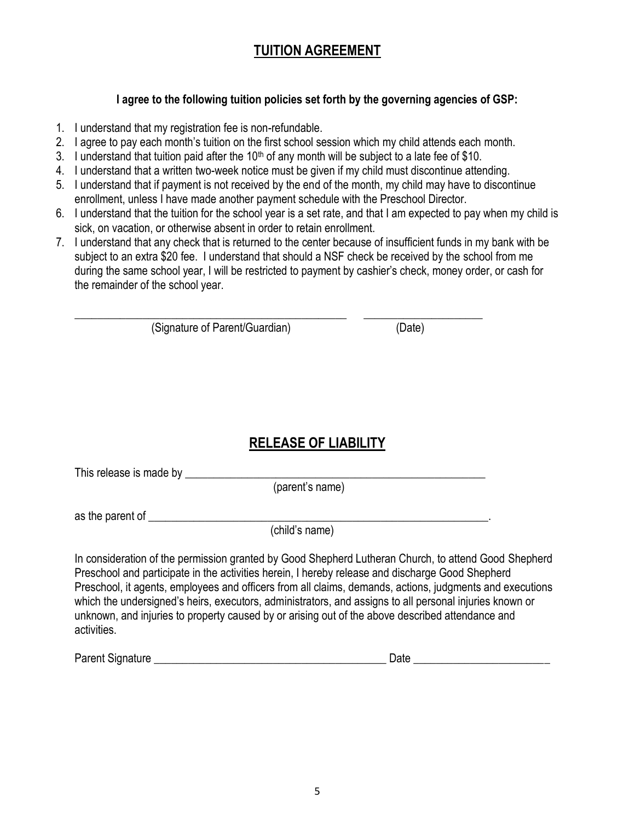## **TUITION AGREEMENT**

#### **I agree to the following tuition policies set forth by the governing agencies of GSP:**

- 1. I understand that my registration fee is non-refundable.
- 2. I agree to pay each month's tuition on the first school session which my child attends each month.
- 3. I understand that tuition paid after the 10<sup>th</sup> of any month will be subject to a late fee of \$10.
- 4. I understand that a written two-week notice must be given if my child must discontinue attending.

\_\_\_\_\_\_\_\_\_\_\_\_\_\_\_\_\_\_\_\_\_\_\_\_\_\_\_\_\_\_\_\_\_\_\_\_\_\_\_\_\_\_\_\_\_\_\_\_ \_\_\_\_\_\_\_\_\_\_\_\_\_\_\_\_\_\_\_\_\_

- 5. I understand that if payment is not received by the end of the month, my child may have to discontinue enrollment, unless I have made another payment schedule with the Preschool Director.
- 6. I understand that the tuition for the school year is a set rate, and that I am expected to pay when my child is sick, on vacation, or otherwise absent in order to retain enrollment.
- 7. I understand that any check that is returned to the center because of insufficient funds in my bank with be subject to an extra \$20 fee. I understand that should a NSF check be received by the school from me during the same school year, I will be restricted to payment by cashier's check, money order, or cash for the remainder of the school year.

(Signature of Parent/Guardian) (Date)

## **RELEASE OF LIABILITY**

This release is made by \_\_\_\_\_\_\_\_\_\_\_\_\_\_\_\_\_\_\_\_\_\_\_\_\_\_\_\_\_\_\_\_\_\_\_\_\_\_\_\_\_\_\_\_\_\_\_\_\_\_\_\_\_

(parent's name)

as the parent of  $\blacksquare$ 

(child's name)

In consideration of the permission granted by Good Shepherd Lutheran Church, to attend Good Shepherd Preschool and participate in the activities herein, I hereby release and discharge Good Shepherd Preschool, it agents, employees and officers from all claims, demands, actions, judgments and executions which the undersigned's heirs, executors, administrators, and assigns to all personal injuries known or unknown, and injuries to property caused by or arising out of the above described attendance and activities.

Parent Signature **Example 2** and the set of the set of the set of the Date Date  $\Box$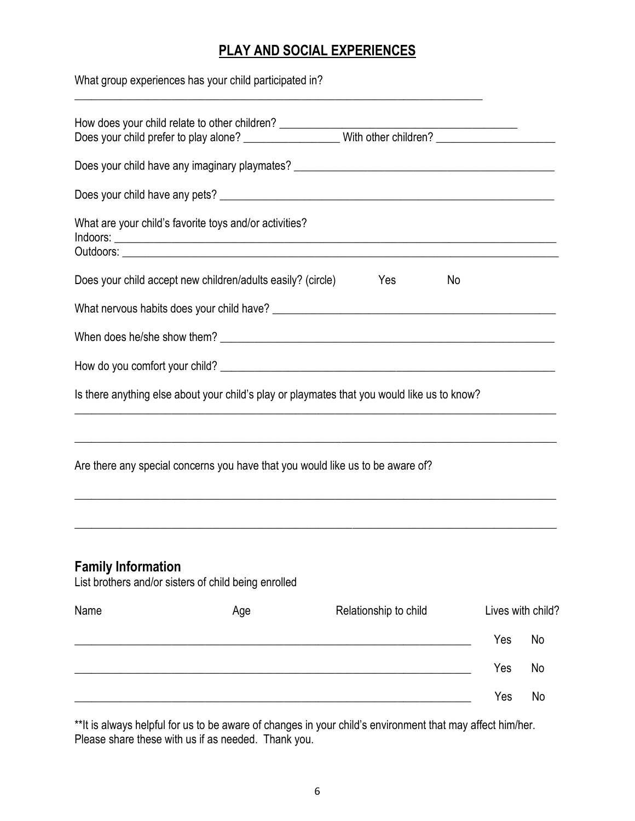# **PLAY AND SOCIAL EXPERIENCES**

| What group experiences has your child participated in?                                      |     |                   |
|---------------------------------------------------------------------------------------------|-----|-------------------|
|                                                                                             |     |                   |
|                                                                                             |     |                   |
|                                                                                             |     |                   |
| What are your child's favorite toys and/or activities?                                      |     |                   |
| Does your child accept new children/adults easily? (circle)<br><b>Property</b> Yes<br>No    |     |                   |
|                                                                                             |     |                   |
|                                                                                             |     |                   |
|                                                                                             |     |                   |
| Is there anything else about your child's play or playmates that you would like us to know? |     |                   |
| Are there any special concerns you have that you would like us to be aware of?              |     |                   |
| <b>Family Information</b><br>List brothers and/or sisters of child being enrolled           |     |                   |
| Name<br>Relationship to child<br>Age                                                        |     | Lives with child? |
|                                                                                             | Yes | No                |
|                                                                                             | Yes | No                |
|                                                                                             | Yes | No                |

\*\*It is always helpful for us to be aware of changes in your child's environment that may affect him/her. Please share these with us if as needed. Thank you.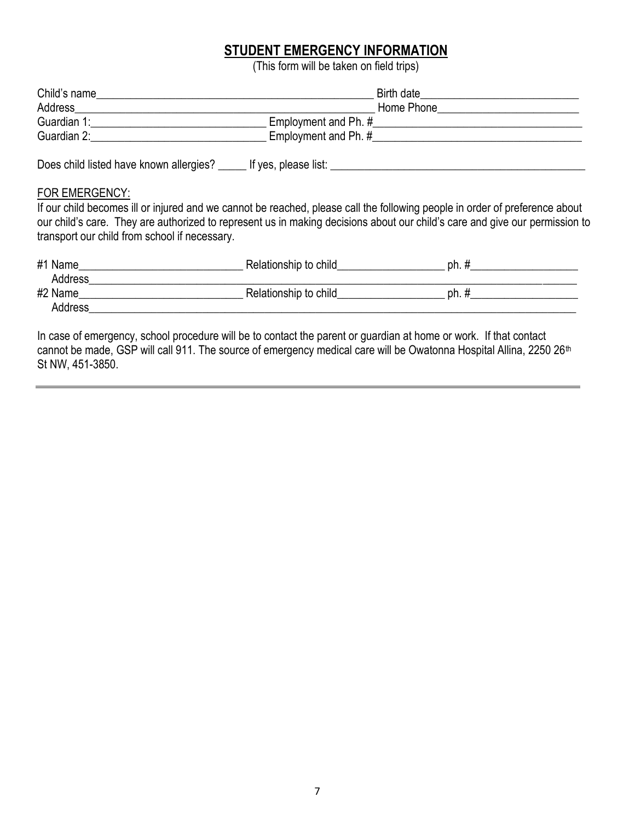### **STUDENT EMERGENCY INFORMATION**

(This form will be taken on field trips)

| Child's name                                                                                                                                                                                                                   |                                                                                                                                                                                                                                                            |
|--------------------------------------------------------------------------------------------------------------------------------------------------------------------------------------------------------------------------------|------------------------------------------------------------------------------------------------------------------------------------------------------------------------------------------------------------------------------------------------------------|
| Address and the contract of the contract of the contract of the contract of the contract of the contract of the contract of the contract of the contract of the contract of the contract of the contract of the contract of th |                                                                                                                                                                                                                                                            |
|                                                                                                                                                                                                                                |                                                                                                                                                                                                                                                            |
| Guardian 2: Electric and the Contract of the Contract of the Contract of the Contract of the Contract of the Contract of the Contract of the Contract of the Contract of the Contract of the Contract of the Contract of the C |                                                                                                                                                                                                                                                            |
| Does child listed have known allergies? The lift yes, please list:                                                                                                                                                             |                                                                                                                                                                                                                                                            |
| FOR EMERGENCY:<br>transport our child from school if necessary.                                                                                                                                                                | If our child becomes ill or injured and we cannot be reached, please call the following people in order of preference about<br>our child's care. They are authorized to represent us in making decisions about our child's care and give our permission to |
|                                                                                                                                                                                                                                |                                                                                                                                                                                                                                                            |
| #2 Name Relationship to child                                                                                                                                                                                                  | $ph.$ #                                                                                                                                                                                                                                                    |
| Address <b>Address Address</b>                                                                                                                                                                                                 |                                                                                                                                                                                                                                                            |
|                                                                                                                                                                                                                                |                                                                                                                                                                                                                                                            |

In case of emergency, school procedure will be to contact the parent or guardian at home or work. If that contact cannot be made, GSP will call 911. The source of emergency medical care will be Owatonna Hospital Allina, 2250 26<sup>th</sup> St NW, 451-3850.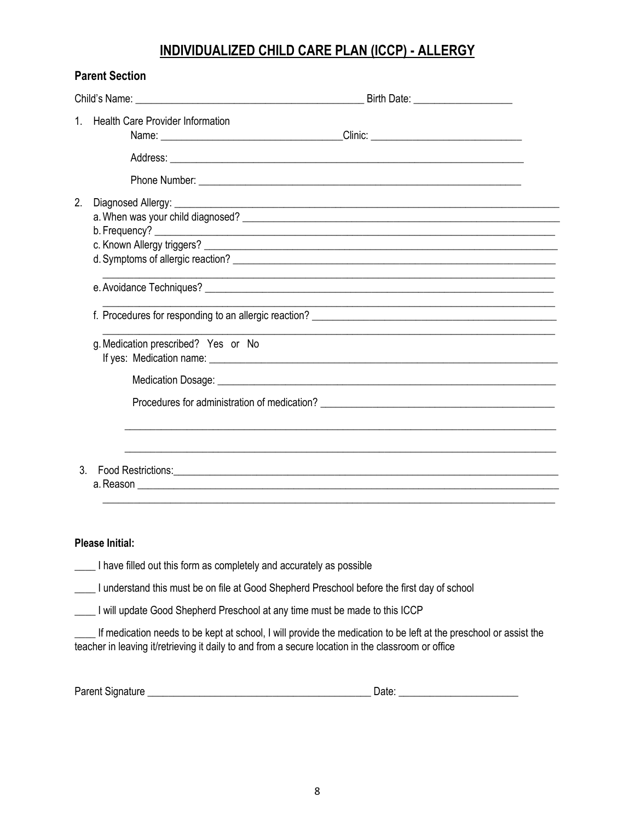## **INDIVIDUALIZED CHILD CARE PLAN (ICCP) - ALLERGY**

|               | <b>Parent Section</b>                                                                                                                                                                                                               |
|---------------|-------------------------------------------------------------------------------------------------------------------------------------------------------------------------------------------------------------------------------------|
|               |                                                                                                                                                                                                                                     |
|               | 1. Health Care Provider Information                                                                                                                                                                                                 |
|               | Address: <u>Address:</u> Address: Address: Address: Address: Address: Address: Address: Address: Address: Address: Address: Address: Address: Address: Address: Address: Address: Address: Address: Address: Address: Address: Addr |
|               |                                                                                                                                                                                                                                     |
| 2.            | <u> 1989 - Johann Stoff, amerikansk politiker (d. 1989)</u>                                                                                                                                                                         |
|               |                                                                                                                                                                                                                                     |
|               |                                                                                                                                                                                                                                     |
|               | g. Medication prescribed? Yes or No                                                                                                                                                                                                 |
|               |                                                                                                                                                                                                                                     |
|               |                                                                                                                                                                                                                                     |
| $\mathcal{S}$ | a. Reason <u>experience</u> and the contract of the contract of the contract of the contract of the contract of the contract of the contract of the contract of the contract of the contract of the contract of the contract of the |
|               |                                                                                                                                                                                                                                     |
|               | <b>Please Initial:</b>                                                                                                                                                                                                              |
|               | I have filled out this form as completely and accurately as possible                                                                                                                                                                |
|               | I understand this must be on file at Good Shepherd Preschool before the first day of school                                                                                                                                         |
|               | I will update Good Shepherd Preschool at any time must be made to this ICCP                                                                                                                                                         |

\_\_\_\_ If medication needs to be kept at school, I will provide the medication to be left at the preschool or assist the teacher in leaving it/retrieving it daily to and from a secure location in the classroom or office

| Parent Signature |  | م+ ہ |
|------------------|--|------|
|------------------|--|------|